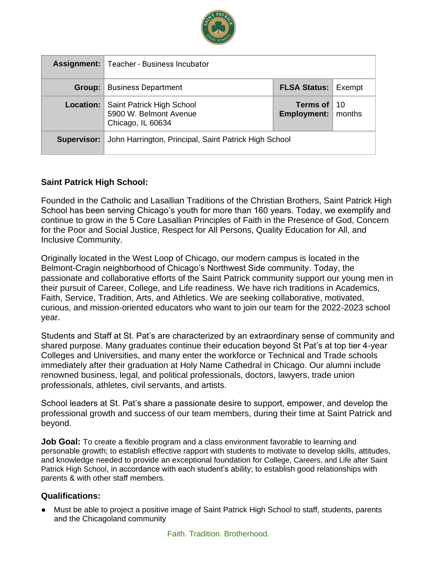

|             | <b>Assignment:</b> Teacher - Business Incubator                          |                                              |  |
|-------------|--------------------------------------------------------------------------|----------------------------------------------|--|
| Group:      | <b>Business Department</b>                                               | <b>FLSA Status: Exempt</b>                   |  |
| Location:   | Saint Patrick High School<br>5900 W. Belmont Avenue<br>Chicago, IL 60634 | Terms of $10$<br><b>Employment:</b>   months |  |
| Supervisor: | John Harrington, Principal, Saint Patrick High School                    |                                              |  |

### **Saint Patrick High School:**

Founded in the Catholic and Lasallian Traditions of the Christian Brothers, Saint Patrick High School has been serving Chicago's youth for more than 160 years. Today, we exemplify and continue to grow in the 5 Core Lasallian Principles of Faith in the Presence of God, Concern for the Poor and Social Justice, Respect for All Persons, Quality Education for All, and Inclusive Community.

Originally located in the West Loop of Chicago, our modern campus is located in the Belmont-Cragin neighborhood of Chicago's Northwest Side community. Today, the passionate and collaborative efforts of the Saint Patrick community support our young men in their pursuit of Career, College, and Life readiness. We have rich traditions in Academics, Faith, Service, Tradition, Arts, and Athletics. We are seeking collaborative, motivated, curious, and mission-oriented educators who want to join our team for the 2022-2023 school year.

Students and Staff at St. Pat's are characterized by an extraordinary sense of community and shared purpose. Many graduates continue their education beyond St Pat's at top tier 4-year Colleges and Universities, and many enter the workforce or Technical and Trade schools immediately after their graduation at Holy Name Cathedral in Chicago. Our alumni include renowned business, legal, and political professionals, doctors, lawyers, trade union professionals, athletes, civil servants, and artists.

School leaders at St. Pat's share a passionate desire to support, empower, and develop the professional growth and success of our team members, during their time at Saint Patrick and beyond.

**Job Goal:** To create a flexible program and a class environment favorable to learning and personable growth; to establish effective rapport with students to motivate to develop skills, attitudes, and knowledge needed to provide an exceptional foundation for College, Careers, and Life after Saint Patrick High School, in accordance with each student's ability; to establish good relationships with parents & with other staff members.

### **Qualifications:**

● Must be able to project a positive image of Saint Patrick High School to staff, students, parents and the Chicagoland community